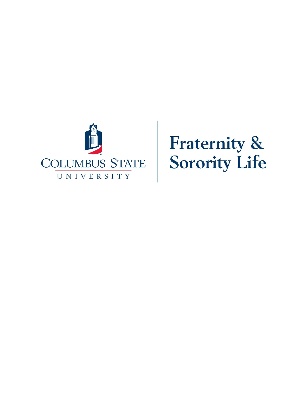

**Fraternity &<br>Sorority Life**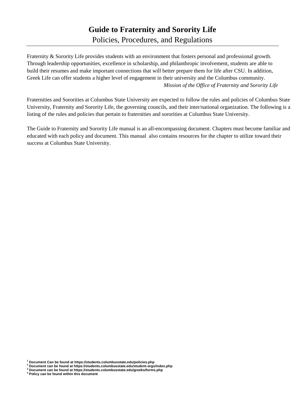# **Guide to Fraternity and Sorority Life**  Policies, Procedures, and Regulations

Fraternity & Sorority Life provides students with an environment that fosters personal and professional growth. Through leadership opportunities, excellence in scholarship, and philanthropic involvement, students are able to build their resumes and make important connections that will better prepare them for life after CSU. In addition, Greek Life can offer students a higher level of engagement in their university and the Columbus community. *Mission of the Office of Fraternity and Sorority Life*

Fraternities and Sororities at Columbus State University are expected to follow the rules and policies of Columbus State University, Fraternity and Sorority Life, the governing councils, and their inter/national organization. The following is a listing of the rules and policies that pertain to fraternities and sororities at Columbus State University.

The Guide to Fraternity and Sorority Life manual is an all-encompassing document. Chapters must become familiar and educated with each policy and document. This manual also contains resources for the chapter to utilize toward their success at Columbus State University.

**<sup>1</sup> Document Can be found at https://students.columbusstate.edu/policies.php**

**<sup>2</sup> Document can be found at https://students.columbusstate.edu/student-orgs/index.php**

**<sup>3</sup> Document can be found at https://students.columbusstate.edu/greeks/forms.php**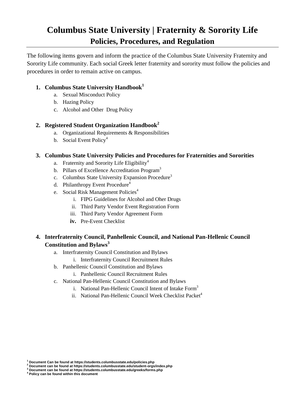# **Columbus State University | Fraternity & Sorority Life Policies, Procedures, and Regulation**

The following items govern and inform the practice of the Columbus State University Fraternity and Sorority Life community. Each social Greek letter fraternity and sorority must follow the policies and procedures in order to remain active on campus.

## **1. Columbus State University Handbook<sup>1</sup>**

- a. Sexual Misconduct Policy
- b. Hazing Policy
- c. Alcohol and Other Drug Policy

# **2. Registered Student Organization Handbook<sup>2</sup>**

- a. Organizational Requirements & Responsibilities
- b. Social Event Policy<sup>4</sup>

## **3. Columbus State University Policies and Procedures for Fraternities and Sororities**

- a. Fraternity and Sorority Life Eligibility<sup>4</sup>
- b. Pillars of Excellence Accreditation Program<sup>3</sup>
- c. Columbus State University Expansion Procedure<sup>3</sup>
- d. Philanthropy Event Procedure<sup>4</sup>
- e. Social Risk Management Policies<sup>4</sup>
	- i. FIPG Guidelines for Alcohol and Oher Drugs
	- ii. Third Party Vendor Event Registration Form
	- iii. Third Party Vendor Agreement Form
	- **iv.** Pre-Event Checklist

# **4. Interfraternity Council, Panhellenic Council, and National Pan-Hellenic Council Constitution and Bylaws<sup>3</sup>**

- a. Interfraternity Council Constitution and Bylaws
	- i. Interfraternity Council Recruitment Rules
- b. Panhellenic Council Constitution and Bylaws
	- i. Panhellenic Council Recruitment Rules
- c. National Pan-Hellenic Council Constitution and Bylaws
	- i. National Pan-Hellenic Council Intent of Intake Form<sup>3</sup>
	- ii. National Pan-Hellenic Council Week Checklist Packet<sup>4</sup>

**<sup>1</sup> Document Can be found at https://students.columbusstate.edu/policies.php**

**<sup>2</sup> Document can be found at https://students.columbusstate.edu/student-orgs/index.php <sup>3</sup> Document can be found at https://students.columbusstate.edu/greeks/forms.php**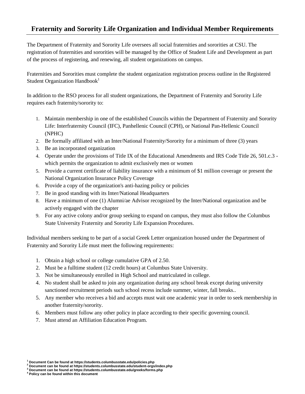# **Fraternity and Sorority Life Organization and Individual Member Requirements**

The Department of Fraternity and Sorority Life oversees all social fraternities and sororities at CSU. The registration of fraternities and sororities will be managed by the Office of Student Life and Development as part of the process of registering, and renewing, all student organizations on campus.

Fraternities and Sororities must complete the student organization registration process outline in the Registered Student Organization Handbook<sup>1</sup>

In addition to the RSO process for all student organizations, the Department of Fraternity and Sorority Life requires each fraternity/sorority to:

- 1. Maintain membership in one of the established Councils within the Department of Fraternity and Sorority Life: [Interfraternity](https://greeklife.gwu.edu/interfraternity-council) Council (IFC), [Panhellenic](https://greeklife.gwu.edu/panhellenic-association) Council (CPH), or National Pan-Hellenic Council (NPHC)
- 2. Be formally affiliated with an Inter/National Fraternity/Sorority for a minimum of three (3) years
- 3. Be an incorporated organization
- 4. Operate under the provisions of Title IX of the Educational Amendments and IRS Code Title 26, 501.c.3 which permits the organization to admit exclusively men or women
- 5. Provide a current certificate of liability insurance with a minimum of \$1 million coverage or present the National Organization Insurance Policy Coverage
- 6. Provide a copy of the organization's anti-hazing policy or policies
- 7. Be in good standing with its Inter/National Headquarters
- 8. Have a minimum of one (1) Alumni/ae Advisor recognized by the Inter/National organization and be actively engaged with the chapter
- 9. For any active colony and/or group seeking to expand on campus, they must also follow the Columbus State University Fraternity and Sorority Life Expansion Procedures.

Individual members seeking to be part of a social Greek Letter organization housed under the Department of Fraternity and Sorority Life must meet the following requirements:

- 1. Obtain a high school or college cumulative GPA of 2.50.
- 2. Must be a fulltime student (12 credit hours) at Columbus State University.
- 3. Not be simultaneously enrolled in High School and matriculated in college.
- 4. No student shall be asked to join any organization during any school break except during university sanctioned recruitment periods such school recess include summer, winter, fall breaks..
- 5. Any member who receives a bid and accepts must wait one academic year in order to seek membership in another fraternity/sorority.
- 6. Members must follow any other policy in place according to their specific governing council.
- 7. Must attend an Affiliation Education Program.

**<sup>1</sup> Document Can be found at https://students.columbusstate.edu/policies.php**

**<sup>2</sup> Document can be found at https://students.columbusstate.edu/student-orgs/index.php**

**<sup>3</sup> Document can be found at https://students.columbusstate.edu/greeks/forms.php**

**<sup>4</sup> Policy can be found within this document**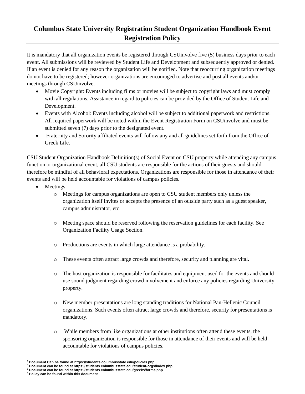# **Columbus State University Registration Student Organization Handbook Event Registration Policy**

It is mandatory that all organization events be registered through CSUinvolve five (5) business days prior to each event. All submissions will be reviewed by Student Life and Development and subsequently approved or denied. If an event is denied for any reason the organization will be notified. Note that reoccurring organization meetings do not have to be registered; however organizations are encouraged to advertise and post all events and/or meetings through CSUinvolve.

- Movie Copyright: Events including films or movies will be subject to copyright laws and must comply with all regulations. Assistance in regard to policies can be provided by the Office of Student Life and Development.
- Events with Alcohol: Events including alcohol will be subject to additional paperwork and restrictions. All required paperwork will be noted within the Event Registration Form on CSUinvolve and must be submitted seven (7) days prior to the designated event.
- Fraternity and Sorority affiliated events will follow any and all guidelines set forth from the Office of Greek Life.

CSU Student Organization Handbook Definition(s) of Social Event on CSU property while attending any campus function or organizational event, all CSU students are responsible for the actions of their guests and should therefore be mindful of all behavioral expectations. Organizations are responsible for those in attendance of their events and will be held accountable for violations of campus policies.

- Meetings
	- o Meetings for campus organizations are open to CSU student members only unless the organization itself invites or accepts the presence of an outside party such as a guest speaker, campus administrator, etc.
	- o Meeting space should be reserved following the reservation guidelines for each facility. See Organization Facility Usage Section.
	- o Productions are events in which large attendance is a probability.
	- o These events often attract large crowds and therefore, security and planning are vital.
	- o The host organization is responsible for facilitates and equipment used for the events and should use sound judgment regarding crowd involvement and enforce any policies regarding University property.
	- o New member presentations are long standing traditions for National Pan-Hellenic Council organizations. Such events often attract large crowds and therefore, security for presentations is mandatory.
	- o While members from like organizations at other institutions often attend these events, the sponsoring organization is responsible for those in attendance of their events and will be held accountable for violations of campus policies.

**<sup>1</sup> Document Can be found at https://students.columbusstate.edu/policies.php**

**<sup>2</sup> Document can be found at https://students.columbusstate.edu/student-orgs/index.php <sup>3</sup> Document can be found at https://students.columbusstate.edu/greeks/forms.php**

**<sup>4</sup> Policy can be found within this document**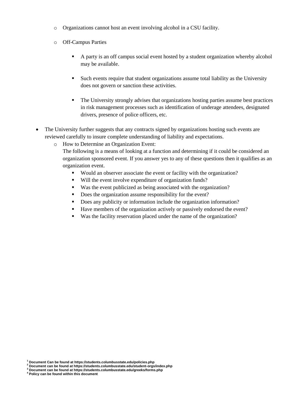- o Organizations cannot host an event involving alcohol in a CSU facility.
- o Off-Campus Parties
	- A party is an off campus social event hosted by a student organization whereby alcohol may be available.
	- Such events require that student organizations assume total liability as the University does not govern or sanction these activities.
	- The University strongly advises that organizations hosting parties assume best practices in risk management processes such as identification of underage attendees, designated drivers, presence of police officers, etc.
- The University further suggests that any contracts signed by organizations hosting such events are reviewed carefully to insure complete understanding of liability and expectations.
	- o How to Determine an Organization Event:

The following is a means of looking at a function and determining if it could be considered an organization sponsored event. If you answer yes to any of these questions then it qualifies as an organization event.

- Would an observer associate the event or facility with the organization?
- Will the event involve expenditure of organization funds?
- Was the event publicized as being associated with the organization?
- Does the organization assume responsibility for the event?
- Does any publicity or information include the organization information?
- Have members of the organization actively or passively endorsed the event?
- Was the facility reservation placed under the name of the organization?

**<sup>1</sup> Document Can be found at https://students.columbusstate.edu/policies.php**

**<sup>2</sup> Document can be found at https://students.columbusstate.edu/student-orgs/index.php**

**<sup>3</sup> Document can be found at https://students.columbusstate.edu/greeks/forms.php**

**<sup>4</sup> Policy can be found within this document**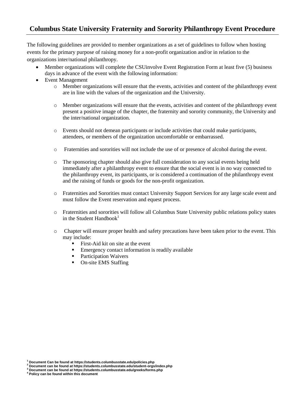# **Columbus State University Fraternity and Sorority Philanthropy Event Procedure**

The following guidelines are provided to member organizations as a set of guidelines to follow when hosting events for the primary purpose of raising money for a non-profit organization and/or in relation to the organizations inter/national philanthropy.

- Member organizations will complete the CSUinvolve Event Registration Form at least five (5) business days in advance of the event with the following information:
- Event Management
	- o Member organizations will ensure that the events, activities and content of the philanthropy event are in line with the values of the organization and the University.
	- o Member organizations will ensure that the events, activities and content of the philanthropy event present a positive image of the chapter, the fraternity and sorority community, the University and the inter/national organization.
	- o Events should not demean participants or include activities that could make participants, attendees, or members of the organization uncomfortable or embarrassed.
	- o Fraternities and sororities will not include the use of or presence of alcohol during the event.
	- o The sponsoring chapter should also give full consideration to any social events being held immediately after a philanthropy event to ensure that the social event is in no way connected to the philanthropy event, its participants, or is considered a continuation of the philanthropy event and the raising of funds or goods for the non-profit organization.
	- o Fraternities and Sororities must contact University Support Services for any large scale event and must follow the Event reservation and equest process.
	- o Fraternities and sororities will follow all Columbus State University public relations policy states in the Student Handbook $1$
	- o Chapter will ensure proper health and safety precautions have been taken prior to the event. This may include:
		- First-Aid kit on site at the event
		- Emergency contact information is readily available
		- **•** Participation Waivers
		- On-site EMS Staffing

**<sup>1</sup> Document Can be found at https://students.columbusstate.edu/policies.php**

**<sup>2</sup> Document can be found at https://students.columbusstate.edu/student-orgs/index.php**

**<sup>3</sup> Document can be found at https://students.columbusstate.edu/greeks/forms.php**

**<sup>4</sup> Policy can be found within this document**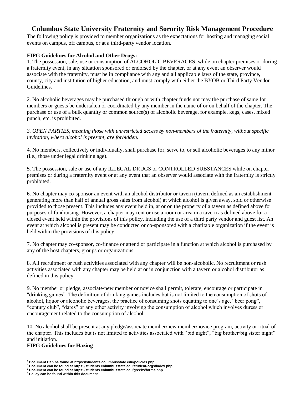# **Columbus State University Fraternity and Sorority Risk Management Procedure**

The following policy is provided to member organizations as the expectations for hosting and managing social events on campus, off campus, or at a third-party vendor location.

### **FIPG Guidelines for Alcohol and Other Drugs:**

1. The possession, sale, use or consumption of ALCOHOLIC BEVERAGES, while on chapter premises or during a fraternity event, in any situation sponsored or endorsed by the chapter, or at any event an observer would associate with the fraternity, must be in compliance with any and all applicable laws of the state, province, county, city and institution of higher education, and must comply with either the BYOB or Third Party Vendor Guidelines.

2. No alcoholic beverages may be purchased through or with chapter funds nor may the purchase of same for members or guests be undertaken or coordinated by any member in the name of or on behalf of the chapter. The purchase or use of a bulk quantity or common source(s) of alcoholic beverage, for example, kegs, cases, mixed punch, etc. is prohibited.

*3. OPEN PARTIES, meaning those with unrestricted access by non-members of the fraternity, without specific invitation, where alcohol is present, are forbidden.* 

4. No members, collectively or individually, shall purchase for, serve to, or sell alcoholic beverages to any minor (i.e., those under legal drinking age).

5. The possession, sale or use of any ILLEGAL DRUGS or CONTROLLED SUBSTANCES while on chapter premises or during a fraternity event or at any event that an observer would associate with the fraternity is strictly prohibited.

6. No chapter may co-sponsor an event with an alcohol distributor or tavern (tavern defined as an establishment generating more than half of annual gross sales from alcohol) at which alcohol is given away, sold or otherwise provided to those present. This includes any event held in, at or on the property of a tavern as defined above for purposes of fundraising. However, a chapter may rent or use a room or area in a tavern as defined above for a closed event held within the provisions of this policy, including the use of a third party vendor and guest list. An event at which alcohol is present may be conducted or co-sponsored with a charitable organization if the event is held within the provisions of this policy.

7. No chapter may co-sponsor, co-finance or attend or participate in a function at which alcohol is purchased by any of the host chapters, groups or organizations.

8. All recruitment or rush activities associated with any chapter will be non-alcoholic. No recruitment or rush activities associated with any chapter may be held at or in conjunction with a tavern or alcohol distributor as defined in this policy.

9. No member or pledge, associate/new member or novice shall permit, tolerate, encourage or participate in "drinking games". The definition of drinking games includes but is not limited to the consumption of shots of alcohol, liquor or alcoholic beverages, the practice of consuming shots equating to one's age, "beer pong", "century club", "dares" or any other activity involving the consumption of alcohol which involves duress or encouragement related to the consumption of alcohol.

10. No alcohol shall be present at any pledge/associate member/new member/novice program, activity or ritual of the chapter. This includes but is not limited to activities associated with "bid night", "big brother/big sister night" and initiation.

#### **FIPG Guidelines for Hazing**

**<sup>1</sup> Document Can be found at https://students.columbusstate.edu/policies.php**

**<sup>2</sup> Document can be found at https://students.columbusstate.edu/student-orgs/index.php**

**<sup>3</sup> Document can be found at https://students.columbusstate.edu/greeks/forms.php**

**<sup>4</sup> Policy can be found within this document**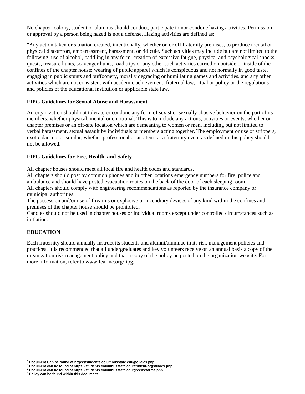No chapter, colony, student or alumnus should conduct, participate in nor condone hazing activities. Permission or approval by a person being hazed is not a defense. Hazing activities are defined as:

"Any action taken or situation created, intentionally, whether on or off fraternity premises, to produce mental or physical discomfort, embarrassment, harassment, or ridicule. Such activities may include but are not limited to the following: use of alcohol, paddling in any form, creation of excessive fatigue, physical and psychological shocks, quests, treasure hunts, scavenger hunts, road trips or any other such activities carried on outside or inside of the confines of the chapter house; wearing of public apparel which is conspicuous and not normally in good taste, engaging in public stunts and buffoonery, morally degrading or humiliating games and activities, and any other activities which are not consistent with academic achievement, fraternal law, ritual or policy or the regulations and policies of the educational institution or applicable state law."

#### **FIPG Guidelines for Sexual Abuse and Harassment**

An organization should not tolerate or condone any form of sexist or sexually abusive behavior on the part of its members, whether physical, mental or emotional. This is to include any actions, activities or events, whether on chapter premises or an off-site location which are demeaning to women or men, including but not limited to verbal harassment, sexual assault by individuals or members acting together. The employment or use of strippers, exotic dancers or similar, whether professional or amateur, at a fraternity event as defined in this policy should not be allowed.

#### **FIPG Guidelines for Fire, Health, and Safety**

All chapter houses should meet all local fire and health codes and standards.

All chapters should post by common phones and in other locations emergency numbers for fire, police and ambulance and should have posted evacuation routes on the back of the door of each sleeping room. All chapters should comply with engineering recommendations as reported by the insurance company or municipal authorities.

The possession and/or use of firearms or explosive or incendiary devices of any kind within the confines and premises of the chapter house should be prohibited.

Candles should not be used in chapter houses or individual rooms except under controlled circumstances such as initiation.

### **EDUCATION**

Each fraternity should annually instruct its students and alumni/alumnae in its risk management policies and practices. It is recommended that all undergraduates and key volunteers receive on an annual basis a copy of the organization risk management policy and that a copy of the policy be posted on the organization website. For more information, refer to www.fea-inc.org/fipg.

**<sup>1</sup> Document Can be found at https://students.columbusstate.edu/policies.php**

**<sup>2</sup> Document can be found at https://students.columbusstate.edu/student-orgs/index.php**

**<sup>3</sup> Document can be found at https://students.columbusstate.edu/greeks/forms.php**

**<sup>4</sup> Policy can be found within this document**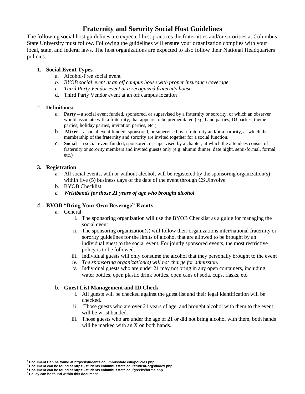# **Fraternity and Sorority Social Host Guidelines**

The following social host guidelines are expected best practices the fraternities and/or sororities at Columbus State University must follow. Following the guidelines will ensure your organization complies with your local, state, and federal laws. The host organizations are expected to also follow their National Headquarters policies.

### **1. Social Event Types**

- a. Alcohol-Free social event
- *b. BYOB social event at an off campus house with proper insurance coverage*
- *c. Third Party Vendor event at a recognized fraternity house*
- d. Third Party Vendor event at an off campus location

### 2. **Definitions:**

- a. **Party –** a social event funded, sponsored, or supervised by a fraternity or sorority, or which an observer would associate with a fraternity, that appears to be premeditated (e.g. band parties, DJ parties, theme parties, holiday parties, invitation parties, etc.)
- b. **Mixer –** a social event funded, sponsored, or supervised by a fraternity and/or a sorority, at which the membership of the fraternity and sorority are invited together for a social function.
- c. **Social –** a social event funded, sponsored, or supervised by a chapter, at which the attendees consist of fraternity or sorority members and invited guests only (e.g. alumni dinner, date night, semi-formal, formal, etc.)

### **3. Registration**

- a. All social events, with or without alcohol, will be registered by the sponsoring organization(s) within five (5) business days of the date of the event through CSUinvolve.
- b. BYOB Checklist.
- *c. Wristbands for those 21 years of age who brought alcohol*

### *4.* **BYOB "Bring Your Own Beverage" Events**

- a. General
	- i. The sponsoring organization will use the BYOB Checklist as a guide for managing the social event.
	- ii. The sponsoring organization(s) will follow their organizations inter/national fraternity or sorority guidelines for the limits of alcohol that are allowed to be brought by an individual guest to the social event. For jointly sponsored events, the most restrictive policy is to be followed.
	- iii. Individual guests will only consume the alcohol that they personally brought to the event
	- *iv. The sponsoring organization(s) will not charge for admission.*
	- v. Individual guests who are under 21 may not bring in any open containers, including water bottles, open plastic drink bottles, open cans of soda, cups, flasks, etc.

### b. **Guest List Management and ID Check**

- i. All guests will be checked against the guest list and their legal identification will be checked.
- ii. Those guests who are over 21 years of age, and brought alcohol with them to the event, will be wrist banded.
- iii. Those guests who are under the age of 21 or did not bring alcohol with them, both hands will be marked with an X on both hands.

**<sup>1</sup> Document Can be found at https://students.columbusstate.edu/policies.php**

**<sup>2</sup> Document can be found at https://students.columbusstate.edu/student-orgs/index.php**

**<sup>3</sup> Document can be found at https://students.columbusstate.edu/greeks/forms.php**

**<sup>4</sup> Policy can be found within this document**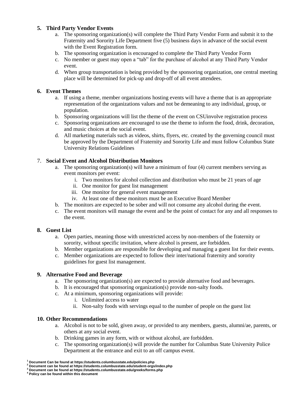### **5. Third Party Vendor Events**

- a. The sponsoring organization(s) will complete the Third Party Vendor Form and submit it to the Fraternity and Sorority Life Department five (5) business days in advance of the social event with the Event Registration form.
- b. The sponsoring organization is encouraged to complete the Third Party Vendor Form
- c. No member or guest may open a "tab" for the purchase of alcohol at any Third Party Vendor event.
- d. When group transportation is being provided by the sponsoring organization, one central meeting place will be determined for pick-up and drop-off of all event attendees.

### **6. Event Themes**

- a. If using a theme, member organizations hosting events will have a theme that is an appropriate representation of the organizations values and not be demeaning to any individual, group, or population.
- b. Sponsoring organizations will list the theme of the event on CSUinvolve registration process
- c. Sponsoring organizations are encouraged to use the theme to inform the food, drink, decoration, and music choices at the social event.
- d. All marketing materials such as videos, shirts, flyers, etc. created by the governing council must be approved by the Department of Fraternity and Sorority Life and must follow Columbus State University Relations Guidelines

### 7. **Social Event and Alcohol Distribution Monitors**

- a. The sponsoring organization(s) will have a minimum of four (4) current members serving as event monitors per event:
	- i. Two monitors for alcohol collection and distribution who must be 21 years of age
	- ii. One monitor for guest list management
	- iii. One monitor for general event management
	- iv. At least one of these monitors must be an Executive Board Member
- b. The monitors are expected to be sober and will not consume any alcohol during the event.
- c. The event monitors will manage the event and be the point of contact for any and all responses to the event.

### **8. Guest List**

- a. Open parties, meaning those with unrestricted access by non-members of the fraternity or sorority, without specific invitation, where alcohol is present, are forbidden.
- b. Member organizations are responsible for developing and managing a guest list for their events.
- c. Member organizations are expected to follow their inter/national fraternity and sorority guidelines for guest list management.

### **9. Alternative Food and Beverage**

- a. The sponsoring organization(s) are expected to provide alternative food and beverages.
- b. It is encouraged that sponsoring organization(s) provide non-salty foods.
- c. At a minimum, sponsoring organizations will provide:
	- i. Unlimited access to water
	- ii. Non-salty foods with servings equal to the number of people on the guest list

### **10. Other Recommendations**

- a. Alcohol is not to be sold, given away, or provided to any members, guests, alumni/ae, parents, or others at any social event.
- b. Drinking games in any form, with or without alcohol, are forbidden.
- c. The sponsoring organization(s) will provide the number for Columbus State University Police Department at the entrance and exit to an off campus event.

**<sup>1</sup> Document Can be found at https://students.columbusstate.edu/policies.php**

**<sup>2</sup> Document can be found at https://students.columbusstate.edu/student-orgs/index.php**

**<sup>3</sup> Document can be found at https://students.columbusstate.edu/greeks/forms.php**

**<sup>4</sup> Policy can be found within this document**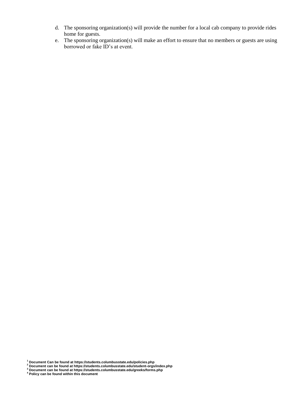- d. The sponsoring organization(s) will provide the number for a local cab company to provide rides home for guests.
- e. The sponsoring organization(s) will make an effort to ensure that no members or guests are using borrowed or fake ID's at event.

**<sup>1</sup> Document Can be found at https://students.columbusstate.edu/policies.php**

**<sup>2</sup> Document can be found at https://students.columbusstate.edu/student-orgs/index.php**

**<sup>3</sup> Document can be found at https://students.columbusstate.edu/greeks/forms.php**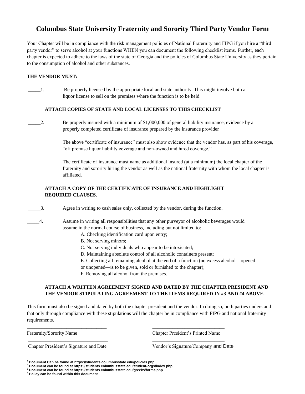# **Columbus State University Fraternity and Sorority Third Party Vendor Form**

Your Chapter will be in compliance with the risk management policies of National Fraternity and FIPG if you hire a "third party vendor" to serve alcohol at your functions WHEN you can document the following checklist items. Further, each chapter is expected to adhere to the laws of the state of Georgia and the policies of Columbus State University as they pertain to the consumption of alcohol and other substances.

#### **THE VENDOR MUST:**

\_\_\_\_\_1. Be properly licensed by the appropriate local and state authority. This might involve both a liquor license to sell on the premises where the function is to be held

#### **ATTACH COPIES OF STATE AND LOCAL LICENSES TO THIS CHECKLIST**

\_\_\_\_\_2. Be properly insured with a minimum of \$1,000,000 of general liability insurance, evidence by a properly completed certificate of insurance prepared by the insurance provider

> The above "certificate of insurance" must also show evidence that the vendor has, as part of his coverage, "off premise liquor liability coverage and non-owned and hired coverage."

The certificate of insurance must name as additional insured (at a minimum) the local chapter of the fraternity and sorority hiring the vendor as well as the national fraternity with whom the local chapter is affiliated.

### **ATTACH A COPY OF THE CERTIFICATE OF INSURANCE AND HIGHLIGHT REQUIRED CLAUSES.**

\_\_\_\_\_3. Agree in writing to cash sales only, collected by the vendor, during the function.

- \_\_\_\_\_4. Assume in writing all responsibilities that any other purveyor of alcoholic beverages would assume in the normal course of business, including but not limited to:
	- A. Checking identification card upon entry;
	- B. Not serving minors;
	- C. Not serving individuals who appear to be intoxicated;
	- D. Maintaining absolute control of all alcoholic containers present;
	- E. Collecting all remaining alcohol at the end of a function (no excess alcohol—opened
	- or unopened—is to be given, sold or furnished to the chapter);
	- F. Removing all alcohol from the premises.

\_\_\_\_\_\_\_\_\_\_\_\_\_\_\_\_\_\_\_\_\_\_\_\_\_\_\_\_\_\_\_\_ \_\_\_\_\_\_\_\_\_\_\_\_\_\_\_\_\_\_\_\_\_\_\_\_\_\_\_\_\_

\_\_\_\_\_\_\_\_\_\_\_\_\_\_\_\_\_\_\_\_\_\_\_\_\_\_\_\_\_\_\_\_ \_\_\_\_\_\_\_\_\_\_\_\_\_\_\_\_\_\_\_\_\_\_\_\_\_\_\_\_\_

#### **ATTACH A WRITTEN AGREEMENT SIGNED AND DATED BY THE CHAPTER PRESIDENT AND THE VENDOR STIPULATING AGREEMENT TO THE ITEMS REQUIRED IN #3 AND #4 ABOVE.**

This form must also be signed and dated by both the chapter president and the vendor. In doing so, both parties understand that only through compliance with these stipulations will the chapter be in compliance with FIPG and national fraternity requirements.

Fraternity/Sorority Name Chapter President's Printed Name

Chapter President's Signature and Date Vendor's Signature/Company and Date

**<sup>1</sup> Document Can be found at https://students.columbusstate.edu/policies.php**

**<sup>2</sup> Document can be found at https://students.columbusstate.edu/student-orgs/index.php**

**<sup>3</sup> Document can be found at https://students.columbusstate.edu/greeks/forms.php**

**<sup>4</sup> Policy can be found within this document**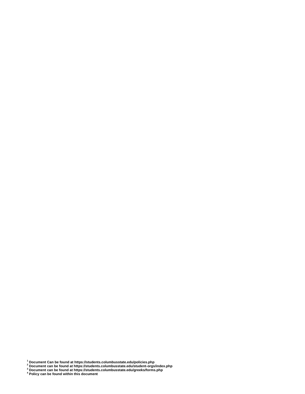**Document Can be found at https://students.columbusstate.edu/policies.php**

**Document can be found at https://students.columbusstate.edu/student-orgs/index.php**

**Document can be found at https://students.columbusstate.edu/greeks/forms.php**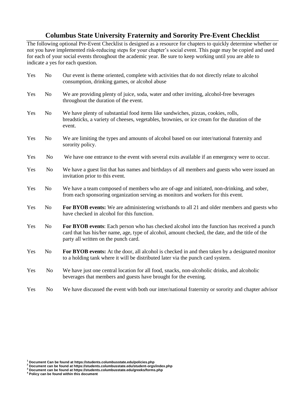# **Columbus State University Fraternity and Sorority Pre-Event Checklist**

The following optional Pre-Event Checklist is designed as a resource for chapters to quickly determine whether or not you have implemented risk-reducing steps for your chapter's social event. This page may be copied and used for each of your social events throughout the academic year. Be sure to keep working until you are able to indicate a yes for each question.

| Yes | N <sub>o</sub> | Our event is theme oriented, complete with activities that do not directly relate to alcohol<br>consumption, drinking games, or alcohol abuse                                                                                           |
|-----|----------------|-----------------------------------------------------------------------------------------------------------------------------------------------------------------------------------------------------------------------------------------|
| Yes | N <sub>0</sub> | We are providing plenty of juice, soda, water and other inviting, alcohol-free beverages<br>throughout the duration of the event.                                                                                                       |
| Yes | N <sub>0</sub> | We have plenty of substantial food items like sandwiches, pizzas, cookies, rolls,<br>breadsticks, a variety of cheeses, vegetables, brownies, or ice cream for the duration of the<br>event.                                            |
| Yes | N <sub>0</sub> | We are limiting the types and amounts of alcohol based on our inter/national fraternity and<br>sorority policy.                                                                                                                         |
| Yes | N <sub>0</sub> | We have one entrance to the event with several exits available if an emergency were to occur.                                                                                                                                           |
| Yes | N <sub>o</sub> | We have a guest list that has names and birthdays of all members and guests who were issued an<br>invitation prior to this event.                                                                                                       |
| Yes | <b>No</b>      | We have a team composed of members who are of-age and initiated, non-drinking, and sober,<br>from each sponsoring organization serving as monitors and workers for this event.                                                          |
| Yes | N <sub>0</sub> | For BYOB events: We are administering wristbands to all 21 and older members and guests who<br>have checked in alcohol for this function.                                                                                               |
| Yes | N <sub>0</sub> | For BYOB events: Each person who has checked alcohol into the function has received a punch<br>card that has his/her name, age, type of alcohol, amount checked, the date, and the title of the<br>party all written on the punch card. |
| Yes | N <sub>0</sub> | For BYOB events: At the door, all alcohol is checked in and then taken by a designated monitor<br>to a holding tank where it will be distributed later via the punch card system.                                                       |
| Yes | N <sub>0</sub> | We have just one central location for all food, snacks, non-alcoholic drinks, and alcoholic<br>beverages that members and guests have brought for the evening.                                                                          |
| Yes | No             | We have discussed the event with both our inter/national fraternity or sorority and chapter advisor                                                                                                                                     |

**<sup>1</sup> Document Can be found at https://students.columbusstate.edu/policies.php**

**<sup>2</sup> Document can be found at https://students.columbusstate.edu/student-orgs/index.php <sup>3</sup> Document can be found at https://students.columbusstate.edu/greeks/forms.php**

**<sup>4</sup> Policy can be found within this document**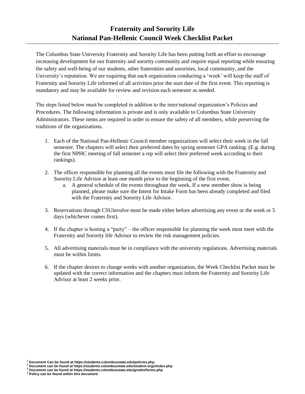The Columbus State University Fraternity and Sorority Life has been putting forth an effort to encourage increasing development for our fraternity and sorority community and require equal reporting while ensuring the safety and well-being of our students, other fraternities and sororities, local community, and the University's reputation. We are requiring that each organization conducting a 'week' will keep the staff of Fraternity and Sorority Life informed of all activities prior the start date of the first event. This reporting is mandatory and may be available for review and revision each semester as needed.

The steps listed below must be completed in addition to the inter/national organization's Policies and Procedures. The following information is private and is only available to Columbus State University Administrators. These items are required in order to ensure the safety of all members, while preserving the traditions of the organizations.

- 1. Each of the National Pan-Hellenic Council member organizations will select their week in the fall semester. The chapters will select their preferred dates by spring semester GPA ranking. (E.g. during the first NPHC meeting of fall semester a rep will select their preferred week according to their rankings).
- 2. The officer responsible for planning all the events must file the following with the Fraternity and Sorority Life Advisor at least one month prior to the beginning of the first event.
	- a. A general schedule of the events throughout the week. If a new member show is being planned, please make sure the Intent for Intake Form has been already completed and filed with the Fraternity and Sorority Life Advisor.
- 3. Reservations through CSUinvolve must be made either before advertising any event or the week or 5 days (whichever comes first).
- 4. If the chapter is hosting a "party" the officer responsible for planning the week must meet with the Fraternity and Sorority life Advisor to review the risk management policies.
- 5. All advertising materials must be in compliance with the university regulations. Advertising materials must be within limits.
- 6. If the chapter desires to change weeks with another organization, the Week Checklist Packet must be updated with the correct information and the chapters must inform the Fraternity and Sorority Life Advisor at least 2 weeks prior.

**<sup>1</sup> Document Can be found at https://students.columbusstate.edu/policies.php**

**<sup>2</sup> Document can be found at https://students.columbusstate.edu/student-orgs/index.php**

**<sup>3</sup> Document can be found at https://students.columbusstate.edu/greeks/forms.php**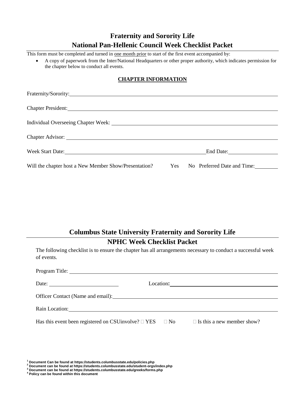# **Fraternity and Sorority Life National Pan-Hellenic Council Week Checklist Packet**

This form must be completed and turned in <u>one month prior</u> to start of the first event accompanied by:

 A copy of paperwork from the Inter/National Headquarters or other proper authority, which indicates permission for the chapter below to conduct all events.

### **CHAPTER INFORMATION**

| Chapter President:                                                                                                                                                                                                                   |           |
|--------------------------------------------------------------------------------------------------------------------------------------------------------------------------------------------------------------------------------------|-----------|
|                                                                                                                                                                                                                                      |           |
| Chapter Advisor: <u>and a series of the series of the series of the series of the series of the series of the series of the series of the series of the series of the series of the series of the series of the series of the se</u> |           |
| Week Start Date:                                                                                                                                                                                                                     | End Date: |
| Will the chapter host a New Member Show/Presentation? Yes No Preferred Date and Time:                                                                                                                                                |           |

# **Columbus State University Fraternity and Sorority Life**

# **NPHC Week Checklist Packet**

The following checklist is to ensure the chapter has all arrangements necessary to conduct a successful week of events.

| Date: $\qquad \qquad$                                                                                                                                                                                                          |  |
|--------------------------------------------------------------------------------------------------------------------------------------------------------------------------------------------------------------------------------|--|
|                                                                                                                                                                                                                                |  |
| Rain Location: New York Contract of the Contract of the Contract of the Contract of the Contract of the Contract of the Contract of the Contract of the Contract of the Contract of the Contract of the Contract of the Contra |  |
| Has this event been registered on CSU involve? $\square$ YES $\square$ No $\square$ Is this a new member show?                                                                                                                 |  |

**<sup>1</sup> Document Can be found at https://students.columbusstate.edu/policies.php**

- **<sup>2</sup> Document can be found at https://students.columbusstate.edu/student-orgs/index.php**
- **<sup>3</sup> Document can be found at https://students.columbusstate.edu/greeks/forms.php**